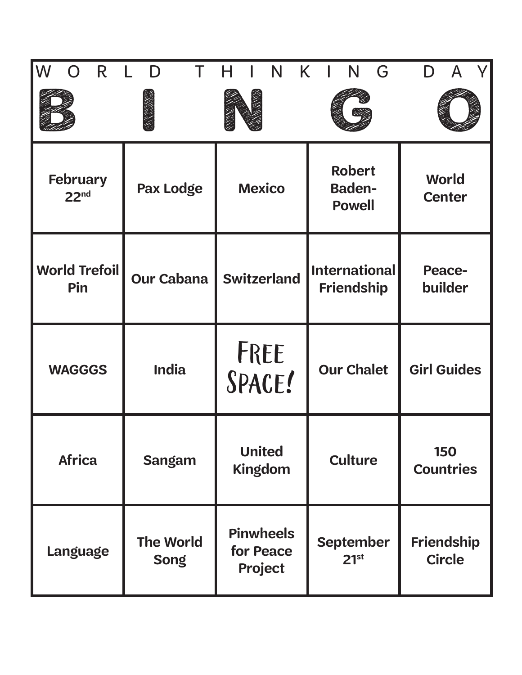| W<br>R                              | D                               | N                                        | K.<br>N<br>G                                    |                                    |
|-------------------------------------|---------------------------------|------------------------------------------|-------------------------------------------------|------------------------------------|
|                                     |                                 |                                          |                                                 |                                    |
| <b>February</b><br>22 <sub>nd</sub> | <b>Pax Lodge</b>                | <b>Mexico</b>                            | <b>Robert</b><br><b>Baden-</b><br><b>Powell</b> | <b>World</b><br><b>Center</b>      |
| <b>World Trefoil</b><br>Pin         | <b>Our Cabana</b>               | <b>Switzerland</b>                       | <b>International</b><br><b>Friendship</b>       | <b>Peace-</b><br>builder           |
| <b>WAGGGS</b>                       | <b>India</b>                    | FREE<br>SPACE!                           | <b>Our Chalet</b>                               | <b>Girl Guides</b>                 |
| <b>Africa</b>                       | <b>Sangam</b>                   | <b>United</b><br><b>Kingdom</b>          | <b>Culture</b>                                  | <b>150</b><br><b>Countries</b>     |
| <b>Language</b>                     | <b>The World</b><br><b>Song</b> | <b>Pinwheels</b><br>for Peace<br>Project | <b>September</b><br>21 <sup>st</sup>            | <b>Friendship</b><br><b>Circle</b> |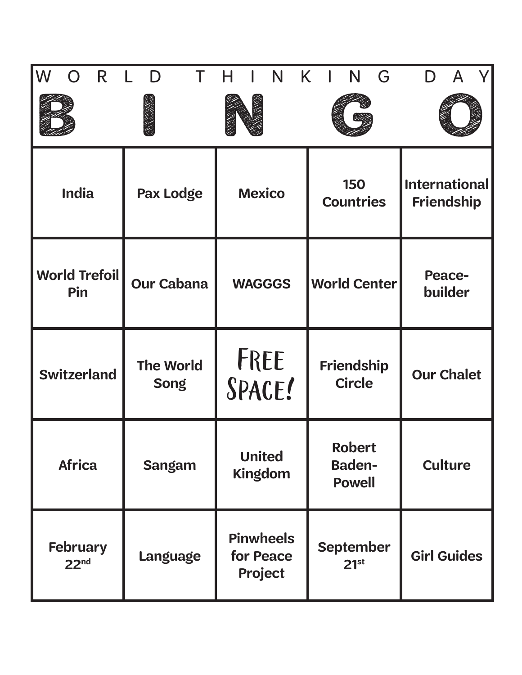| W<br>R                              | D                               | N                                        | K.<br>G<br>N                                    |                                           |
|-------------------------------------|---------------------------------|------------------------------------------|-------------------------------------------------|-------------------------------------------|
|                                     |                                 |                                          |                                                 |                                           |
| <b>India</b>                        | Pax Lodge                       | <b>Mexico</b>                            | 150<br><b>Countries</b>                         | <b>International</b><br><b>Friendship</b> |
| <b>World Trefoil</b><br>Pin         | <b>Our Cabana</b>               | <b>WAGGGS</b>                            | <b>World Center</b>                             | <b>Peace-</b><br>builder                  |
| <b>Switzerland</b>                  | <b>The World</b><br><b>Song</b> | FREE<br>SPACE!                           | Friendship<br><b>Circle</b>                     | <b>Our Chalet</b>                         |
| <b>Africa</b>                       | <b>Sangam</b>                   | <b>United</b><br><b>Kingdom</b>          | <b>Robert</b><br><b>Baden-</b><br><b>Powell</b> | <b>Culture</b>                            |
| <b>February</b><br>22 <sup>nd</sup> | <b>Language</b>                 | <b>Pinwheels</b><br>for Peace<br>Project | <b>September</b><br>21 <sup>st</sup>            | <b>Girl Guides</b>                        |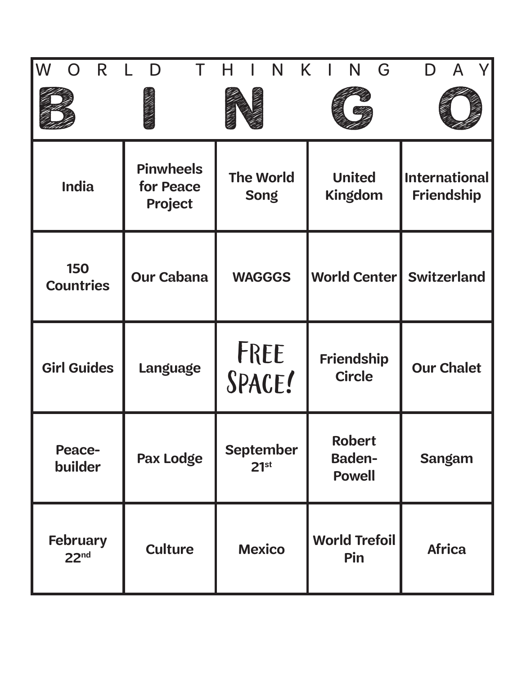| IW<br>R                             | D                                        | N                                    | K.<br>N<br>G                             |                                           |
|-------------------------------------|------------------------------------------|--------------------------------------|------------------------------------------|-------------------------------------------|
|                                     |                                          |                                      |                                          |                                           |
| <b>India</b>                        | <b>Pinwheels</b><br>for Peace<br>Project | <b>The World</b><br><b>Song</b>      | <b>United</b><br><b>Kingdom</b>          | <b>International</b><br><b>Friendship</b> |
| <b>150</b><br><b>Countries</b>      | <b>Our Cabana</b>                        | <b>WAGGGS</b>                        | <b>World Center Switzerland</b>          |                                           |
| <b>Girl Guides</b>                  | Language                                 | FREE<br>SPACE!                       | <b>Friendship</b><br><b>Circle</b>       | <b>Our Chalet</b>                         |
| <b>Peace-</b><br>builder            | Pax Lodge                                | <b>September</b><br>21 <sup>st</sup> | Robert<br><b>Baden-</b><br><b>Powell</b> | <b>Sangam</b>                             |
| <b>February</b><br>22 <sup>nd</sup> | <b>Culture</b>                           | <b>Mexico</b>                        | <b>World Trefoil</b><br>Pin              | <b>Africa</b>                             |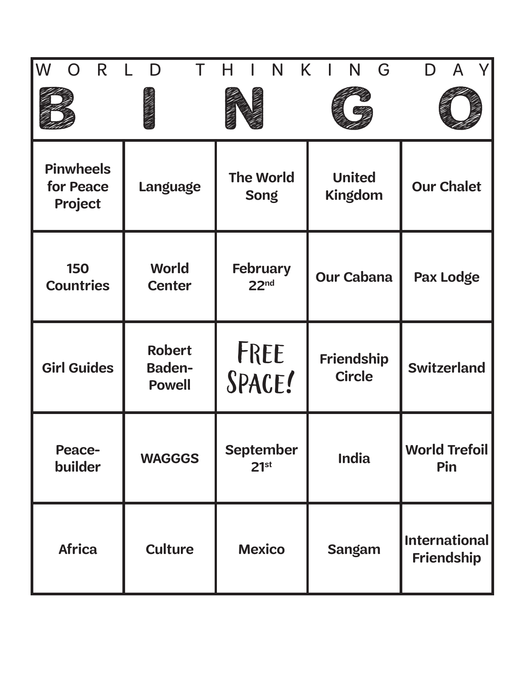| $\sf W$<br>R                             | D                                               | N                                    | K<br>N<br>G                        |                                           |
|------------------------------------------|-------------------------------------------------|--------------------------------------|------------------------------------|-------------------------------------------|
|                                          |                                                 |                                      |                                    |                                           |
| <b>Pinwheels</b><br>for Peace<br>Project | Language                                        | <b>The World</b><br><b>Song</b>      | <b>United</b><br><b>Kingdom</b>    | <b>Our Chalet</b>                         |
| <b>150</b><br><b>Countries</b>           | World<br><b>Center</b>                          | <b>February</b><br>22 <sup>nd</sup>  | <b>Our Cabana</b>                  | Pax Lodge                                 |
| <b>Girl Guides</b>                       | <b>Robert</b><br><b>Baden-</b><br><b>Powell</b> | FREE<br>SPACE!                       | <b>Friendship</b><br><b>Circle</b> | <b>Switzerland</b>                        |
| <b>Peace-</b><br>builder                 | <b>WAGGGS</b>                                   | <b>September</b><br>21 <sup>st</sup> | <b>India</b>                       | <b>World Trefoil</b><br>Pin               |
| <b>Africa</b>                            | <b>Culture</b>                                  | <b>Mexico</b>                        | <b>Sangam</b>                      | <b>International</b><br><b>Friendship</b> |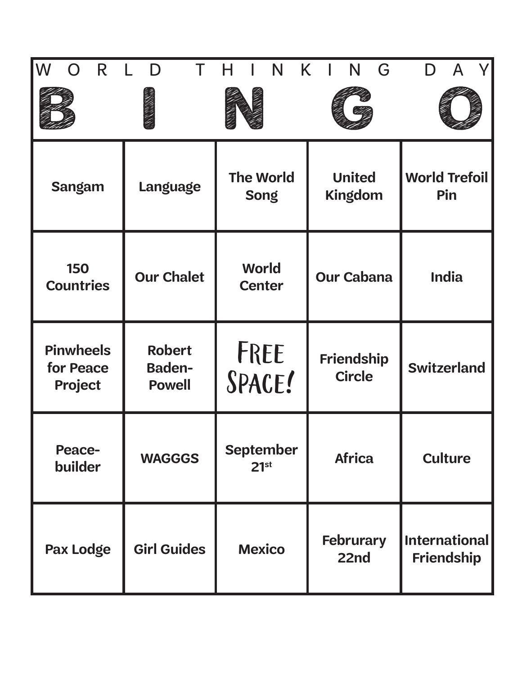| lW<br>R                                  | D                                               | N                                    | K.<br>N<br>G                       |                                           |
|------------------------------------------|-------------------------------------------------|--------------------------------------|------------------------------------|-------------------------------------------|
|                                          |                                                 |                                      |                                    |                                           |
| <b>Sangam</b>                            | Language                                        | <b>The World</b><br><b>Song</b>      | <b>United</b><br><b>Kingdom</b>    | <b>World Trefoil</b><br>Pin               |
| 150<br><b>Countries</b>                  | <b>Our Chalet</b>                               | <b>World</b><br><b>Center</b>        | <b>Our Cabana</b>                  | <b>India</b>                              |
| <b>Pinwheels</b><br>for Peace<br>Project | <b>Robert</b><br><b>Baden-</b><br><b>Powell</b> | FREE<br>SPACE!                       | <b>Friendship</b><br><b>Circle</b> | <b>Switzerland</b>                        |
| <b>Peace-</b><br>builder                 | <b>WAGGGS</b>                                   | <b>September</b><br>21 <sup>st</sup> | <b>Africa</b>                      | <b>Culture</b>                            |
| Pax Lodge                                | <b>Girl Guides</b>                              | <b>Mexico</b>                        | <b>Februrary</b><br>22nd           | <b>International</b><br><b>Friendship</b> |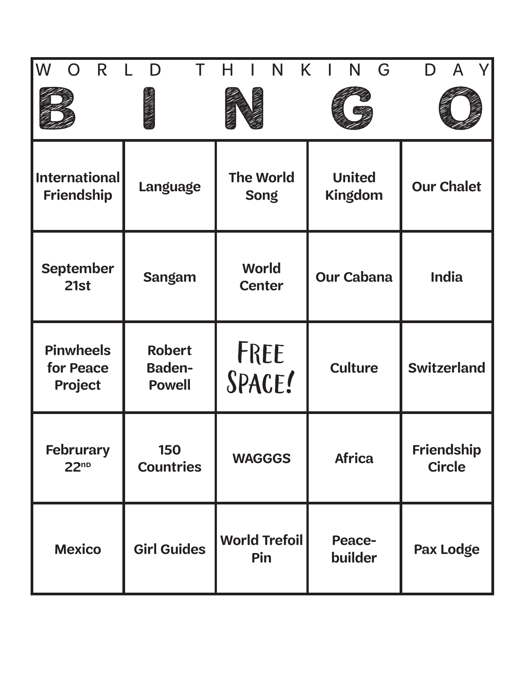| $\sf W$<br>R                             | D                                               | N                               | K<br>N<br>G              |                             |
|------------------------------------------|-------------------------------------------------|---------------------------------|--------------------------|-----------------------------|
|                                          |                                                 |                                 |                          |                             |
| <b>International</b><br>Friendship       | Language                                        | <b>The World</b><br><b>Song</b> | <b>United</b><br>Kingdom | <b>Our Chalet</b>           |
| <b>September</b><br>21st                 | <b>Sangam</b>                                   | World<br><b>Center</b>          | <b>Our Cabana</b>        | <b>India</b>                |
| <b>Pinwheels</b><br>for Peace<br>Project | <b>Robert</b><br><b>Baden-</b><br><b>Powell</b> | FREE<br>SPACE!                  | <b>Culture</b>           | <b>Switzerland</b>          |
| <b>Februrary</b><br>22 <sup>no</sup>     | 150<br><b>Countries</b>                         | <b>WAGGGS</b>                   | <b>Africa</b>            | Friendship<br><b>Circle</b> |
| <b>Mexico</b>                            | <b>Girl Guides</b>                              | <b>World Trefoil</b><br>Pin     | <b>Peace-</b><br>builder | Pax Lodge                   |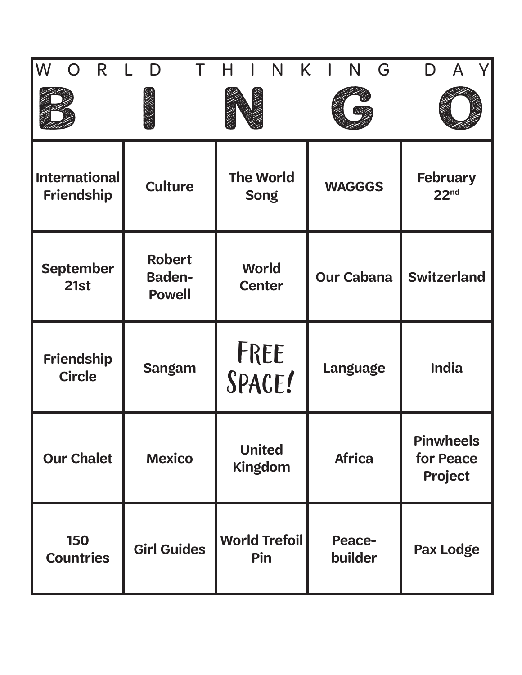| $\sf W$<br>R                              | D                                               | N                               | K.<br>N<br>G             |                                          |
|-------------------------------------------|-------------------------------------------------|---------------------------------|--------------------------|------------------------------------------|
|                                           |                                                 |                                 |                          |                                          |
| <b>International</b><br><b>Friendship</b> | <b>Culture</b>                                  | <b>The World</b><br><b>Song</b> | <b>WAGGGS</b>            | <b>February</b><br>22 <sup>nd</sup>      |
| <b>September</b><br>21st                  | <b>Robert</b><br><b>Baden-</b><br><b>Powell</b> | <b>World</b><br><b>Center</b>   | <b>Our Cabana</b>        | <b>Switzerland</b>                       |
| <b>Friendship</b><br><b>Circle</b>        | <b>Sangam</b>                                   | FREE<br>SPACE!                  | Language                 | <b>India</b>                             |
| <b>Our Chalet</b>                         | <b>Mexico</b>                                   | <b>United</b><br><b>Kingdom</b> | <b>Africa</b>            | <b>Pinwheels</b><br>for Peace<br>Project |
| <b>150</b><br><b>Countries</b>            | <b>Girl Guides</b>                              | <b>World Trefoil</b><br>Pin     | <b>Peace-</b><br>builder | Pax Lodge                                |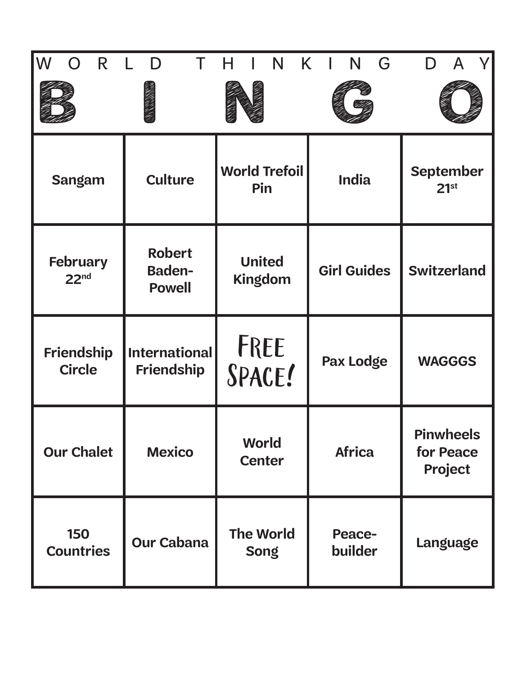| lW<br>R                             | D                                               | K<br>N                          | G<br>N                   | A                                        |
|-------------------------------------|-------------------------------------------------|---------------------------------|--------------------------|------------------------------------------|
|                                     |                                                 |                                 |                          |                                          |
| <b>Sangam</b>                       | <b>Culture</b>                                  | <b>World Trefoil</b><br>Pin     | <b>India</b>             | <b>September</b><br>21 <sup>st</sup>     |
| <b>February</b><br>22 <sup>nd</sup> | <b>Robert</b><br><b>Baden-</b><br><b>Powell</b> | <b>United</b><br>Kingdom        | <b>Girl Guides</b>       | <b>Switzerland</b>                       |
| <b>Friendship</b><br><b>Circle</b>  | <b>International</b><br><b>Friendship</b>       | FREE<br>SPACE!                  | <b>Pax Lodge</b>         | <b>WAGGGS</b>                            |
| <b>Our Chalet</b>                   | <b>Mexico</b>                                   | World<br><b>Center</b>          | <b>Africa</b>            | <b>Pinwheels</b><br>for Peace<br>Project |
| 150<br><b>Countries</b>             | <b>Our Cabana</b>                               | <b>The World</b><br><b>Song</b> | <b>Peace-</b><br>builder | Language                                 |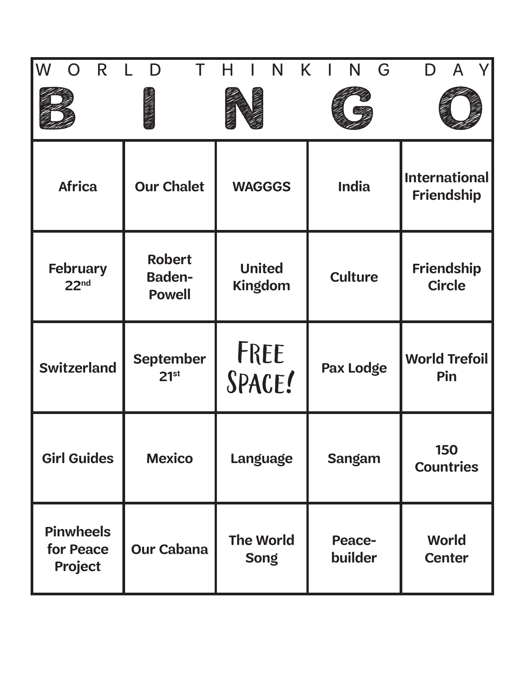| $\sf W$<br>R                             | D                                               | N                               | K.<br>N<br>G             |                                           |
|------------------------------------------|-------------------------------------------------|---------------------------------|--------------------------|-------------------------------------------|
|                                          |                                                 |                                 |                          |                                           |
| <b>Africa</b>                            | <b>Our Chalet</b>                               | <b>WAGGGS</b>                   | <b>India</b>             | <b>International</b><br><b>Friendship</b> |
| <b>February</b><br>22 <sup>nd</sup>      | <b>Robert</b><br><b>Baden-</b><br><b>Powell</b> | <b>United</b><br><b>Kingdom</b> | <b>Culture</b>           | <b>Friendship</b><br><b>Circle</b>        |
| <b>Switzerland</b>                       | <b>September</b><br>21 <sup>st</sup>            | FREE<br>SPACE!                  | <b>Pax Lodge</b>         | <b>World Trefoil</b><br>Pin               |
| <b>Girl Guides</b>                       | <b>Mexico</b>                                   | Language                        | <b>Sangam</b>            | <b>150</b><br><b>Countries</b>            |
| <b>Pinwheels</b><br>for Peace<br>Project | <b>Our Cabana</b>                               | <b>The World</b><br><b>Song</b> | <b>Peace-</b><br>builder | World<br><b>Center</b>                    |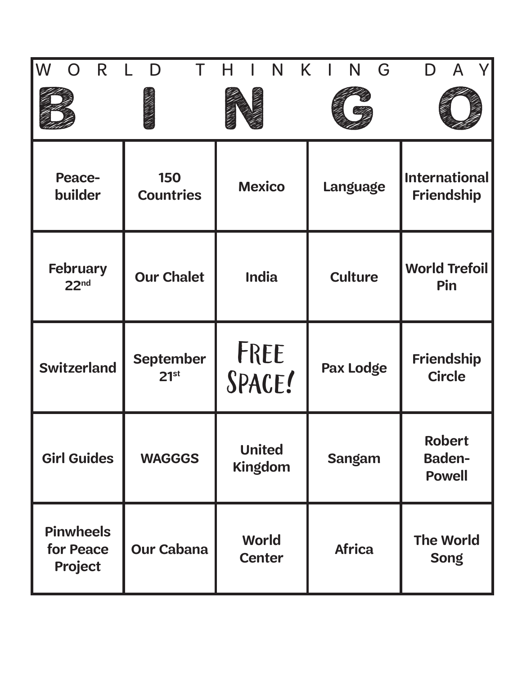| lW<br>R.                                 | D                                    | N                               | K.<br>G<br>N     |                                                 |
|------------------------------------------|--------------------------------------|---------------------------------|------------------|-------------------------------------------------|
|                                          |                                      |                                 |                  |                                                 |
| <b>Peace-</b><br>builder                 | 150<br><b>Countries</b>              | <b>Mexico</b>                   | Language         | <b>International</b><br><b>Friendship</b>       |
| <b>February</b><br>22 <sub>nd</sub>      | <b>Our Chalet</b>                    | <b>India</b>                    | <b>Culture</b>   | <b>World Trefoil</b><br>Pin                     |
| <b>Switzerland</b>                       | <b>September</b><br>21 <sup>st</sup> | FREE<br>SPACE!                  | <b>Pax Lodge</b> | Friendship<br><b>Circle</b>                     |
| <b>Girl Guides</b>                       | <b>WAGGGS</b>                        | <b>United</b><br><b>Kingdom</b> | <b>Sangam</b>    | <b>Robert</b><br><b>Baden-</b><br><b>Powell</b> |
| <b>Pinwheels</b><br>for Peace<br>Project | <b>Our Cabana</b>                    | <b>World</b><br><b>Center</b>   | <b>Africa</b>    | <b>The World</b><br><b>Song</b>                 |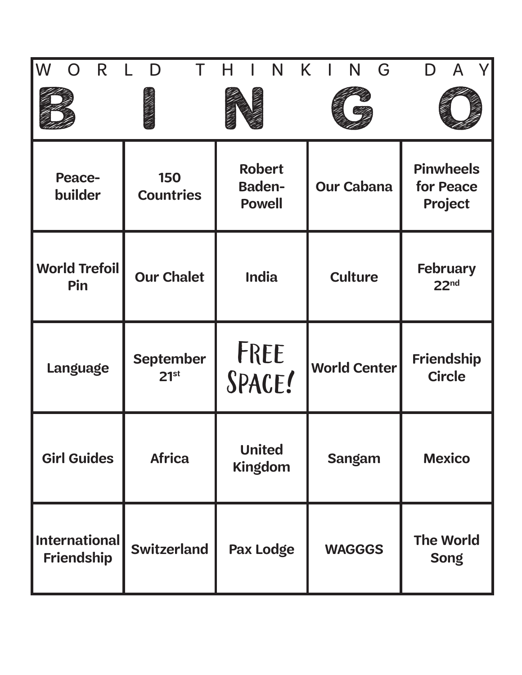| lW<br>R.                           | D                                    | N                                               | K.<br>G<br>N        |                                          |
|------------------------------------|--------------------------------------|-------------------------------------------------|---------------------|------------------------------------------|
|                                    |                                      |                                                 |                     |                                          |
| <b>Peace-</b><br>builder           | 150<br><b>Countries</b>              | <b>Robert</b><br><b>Baden-</b><br><b>Powell</b> | <b>Our Cabana</b>   | <b>Pinwheels</b><br>for Peace<br>Project |
| <b>World Trefoil</b><br>Pin        | <b>Our Chalet</b>                    | <b>India</b>                                    | <b>Culture</b>      | <b>February</b><br>22 <sup>nd</sup>      |
| Language                           | <b>September</b><br>21 <sup>st</sup> | FREE<br>SPACE!                                  | <b>World Center</b> | Friendship<br><b>Circle</b>              |
| <b>Girl Guides</b>                 | <b>Africa</b>                        | <b>United</b><br>Kingdom                        | <b>Sangam</b>       | <b>Mexico</b>                            |
| <b>International</b><br>Friendship | <b>Switzerland</b>                   | Pax Lodge                                       | <b>WAGGGS</b>       | <b>The World</b><br><b>Song</b>          |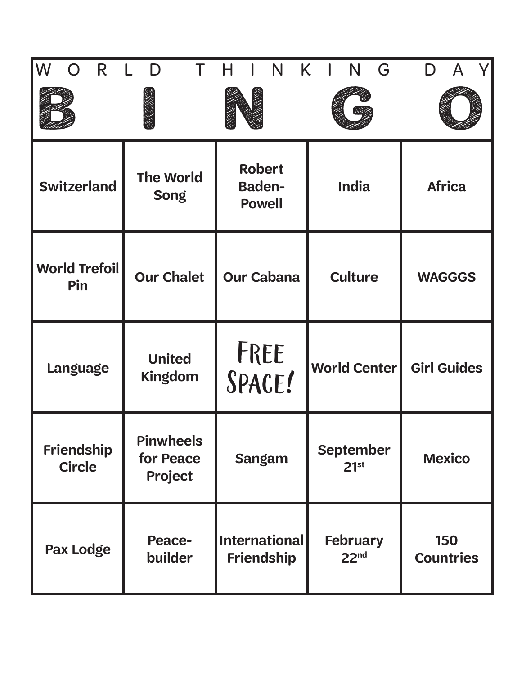| lW<br>R                            | D                                        | N<br>K.                                         | G<br>N                               |                                |
|------------------------------------|------------------------------------------|-------------------------------------------------|--------------------------------------|--------------------------------|
|                                    |                                          |                                                 |                                      |                                |
| <b>Switzerland</b>                 | <b>The World</b><br><b>Song</b>          | <b>Robert</b><br><b>Baden-</b><br><b>Powell</b> | <b>India</b>                         | <b>Africa</b>                  |
| <b>World Trefoil</b><br>Pin        | <b>Our Chalet</b>                        | <b>Our Cabana</b>                               | <b>Culture</b>                       | <b>WAGGGS</b>                  |
| Language                           | <b>United</b><br><b>Kingdom</b>          | FREE<br>SPACE!                                  | <b>World Center</b>                  | <b>Girl Guides</b>             |
| <b>Friendship</b><br><b>Circle</b> | <b>Pinwheels</b><br>for Peace<br>Project | <b>Sangam</b>                                   | <b>September</b><br>21 <sup>st</sup> | <b>Mexico</b>                  |
| Pax Lodge                          | <b>Peace-</b><br>builder                 | <b>International</b><br><b>Friendship</b>       | <b>February</b><br>22 <sup>nd</sup>  | <b>150</b><br><b>Countries</b> |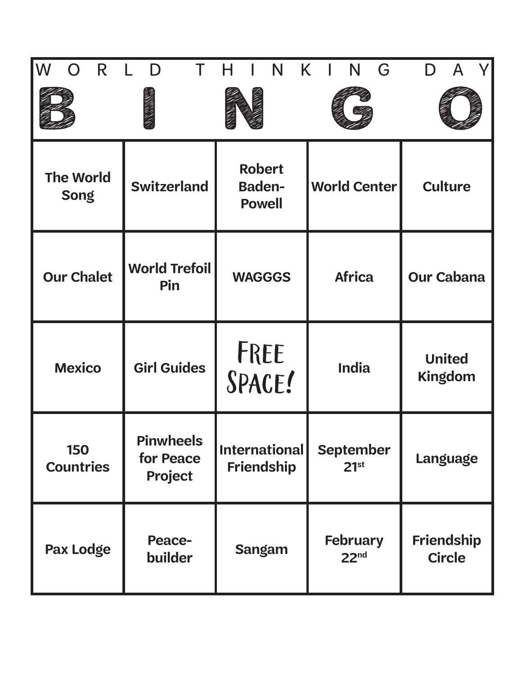| lW<br>R                         | D                                        | N                                               | K.<br>N<br>G                         |                                    |
|---------------------------------|------------------------------------------|-------------------------------------------------|--------------------------------------|------------------------------------|
|                                 |                                          |                                                 |                                      |                                    |
| <b>The World</b><br><b>Song</b> | <b>Switzerland</b>                       | <b>Robert</b><br><b>Baden-</b><br><b>Powell</b> | <b>World Center</b>                  | <b>Culture</b>                     |
| <b>Our Chalet</b>               | <b>World Trefoil</b><br>Pin              | <b>WAGGGS</b>                                   | <b>Africa</b>                        | <b>Our Cabana</b>                  |
| <b>Mexico</b>                   | <b>Girl Guides</b>                       | FREE<br>SPACE!                                  | <b>India</b>                         | <b>United</b><br><b>Kingdom</b>    |
| 150<br><b>Countries</b>         | <b>Pinwheels</b><br>for Peace<br>Project | International<br><b>Friendship</b>              | <b>September</b><br>21 <sup>st</sup> | Language                           |
| Pax Lodge                       | <b>Peace-</b><br>builder                 | <b>Sangam</b>                                   | February<br>22 <sup>nd</sup>         | <b>Friendship</b><br><b>Circle</b> |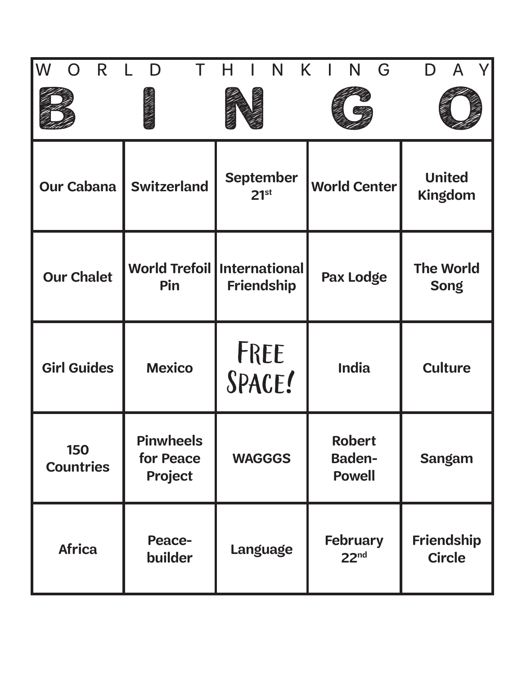| lW<br>R                        | D                                        | N<br>K.                                   | G<br>N                                   |                                 |
|--------------------------------|------------------------------------------|-------------------------------------------|------------------------------------------|---------------------------------|
|                                |                                          |                                           |                                          |                                 |
| <b>Our Cabana</b>              | <b>Switzerland</b>                       | <b>September</b><br>21 <sup>st</sup>      | <b>World Center</b>                      | <b>United</b><br>Kingdom        |
| <b>Our Chalet</b>              | <b>World Trefoil</b><br>Pin              | <b>International</b><br><b>Friendship</b> | Pax Lodge                                | <b>The World</b><br><b>Song</b> |
| <b>Girl Guides</b>             | <b>Mexico</b>                            | FREE<br>SPACE!                            | <b>India</b>                             | <b>Culture</b>                  |
| <b>150</b><br><b>Countries</b> | <b>Pinwheels</b><br>for Peace<br>Project | <b>WAGGGS</b>                             | Robert<br><b>Baden-</b><br><b>Powell</b> | <b>Sangam</b>                   |
| <b>Africa</b>                  | <b>Peace-</b><br>builder                 | Language                                  | <b>February</b><br>22 <sup>nd</sup>      | Friendship<br><b>Circle</b>     |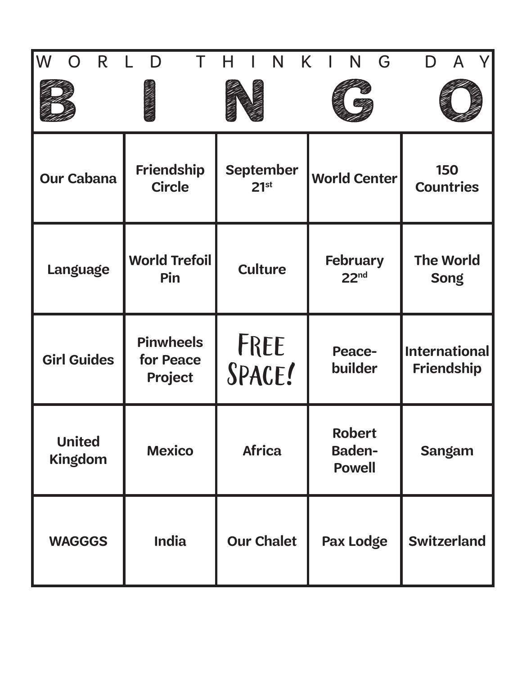| lW<br>R.<br>$\Box$              | D                                        | N                                    | K<br>N<br>G                                     |                                           |
|---------------------------------|------------------------------------------|--------------------------------------|-------------------------------------------------|-------------------------------------------|
| <b>Our Cabana</b>               | Friendship<br><b>Circle</b>              | <b>September</b><br>21 <sup>st</sup> | World Center                                    | <b>150</b><br><b>Countries</b>            |
| <b>Language</b>                 | <b>World Trefoil</b><br>Pin              | <b>Culture</b>                       | <b>February</b><br>22 <sup>nd</sup>             | <b>The World</b><br><b>Song</b>           |
| <b>Girl Guides</b>              | <b>Pinwheels</b><br>for Peace<br>Project | FREE<br>SPACE!                       | <b>Peace-</b><br>builder                        | <b>International</b><br><b>Friendship</b> |
| <b>United</b><br><b>Kingdom</b> | <b>Mexico</b>                            | <b>Africa</b>                        | <b>Robert</b><br><b>Baden-</b><br><b>Powell</b> | <b>Sangam</b>                             |
| <b>WAGGGS</b>                   | <b>India</b>                             | <b>Our Chalet</b>                    | <b>Pax Lodge</b>                                | <b>Switzerland</b>                        |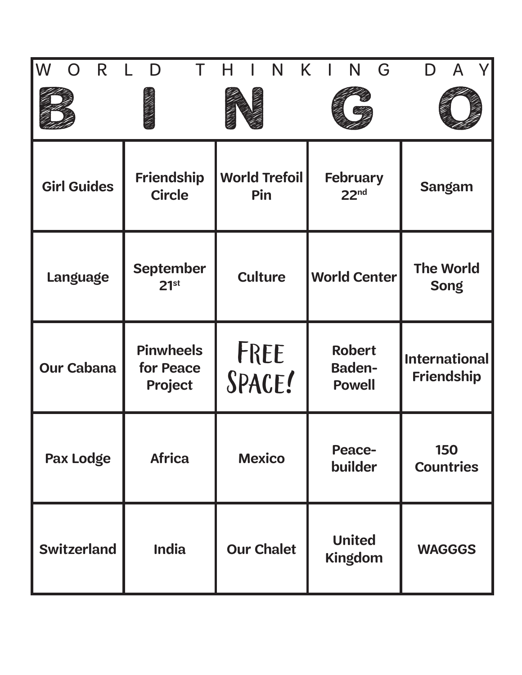| lW<br>R            | D                                        | N                           | K.<br>G<br>N                                    |                                           |
|--------------------|------------------------------------------|-----------------------------|-------------------------------------------------|-------------------------------------------|
|                    |                                          |                             |                                                 |                                           |
| <b>Girl Guides</b> | <b>Friendship</b><br><b>Circle</b>       | <b>World Trefoil</b><br>Pin | <b>February</b><br>22 <sub>nd</sub>             | <b>Sangam</b>                             |
| <b>Language</b>    | <b>September</b><br>21 <sup>st</sup>     | <b>Culture</b>              | <b>World Center</b>                             | <b>The World</b><br><b>Song</b>           |
| <b>Our Cabana</b>  | <b>Pinwheels</b><br>for Peace<br>Project | FREE<br>SPACE!              | <b>Robert</b><br><b>Baden-</b><br><b>Powell</b> | <b>International</b><br><b>Friendship</b> |
| Pax Lodge          | <b>Africa</b>                            | <b>Mexico</b>               | <b>Peace-</b><br>builder                        | <b>150</b><br><b>Countries</b>            |
| <b>Switzerland</b> | <b>India</b>                             | <b>Our Chalet</b>           | <b>United</b><br><b>Kingdom</b>                 | <b>WAGGGS</b>                             |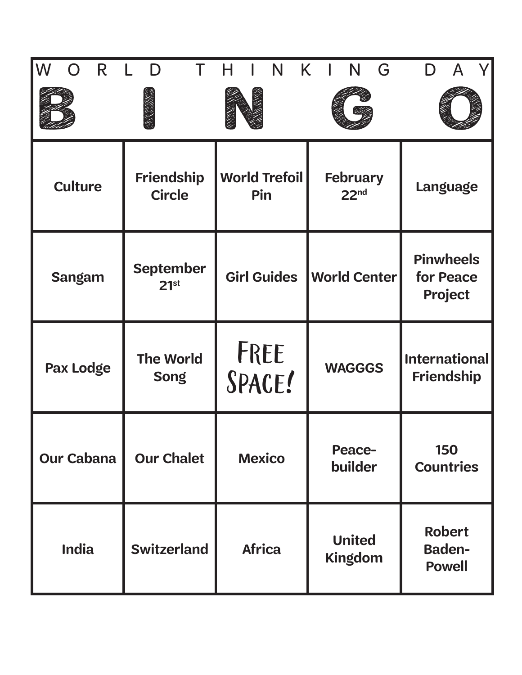| IW<br>R           | D                                    | N                           | K.<br>G<br>N                        |                                                 |
|-------------------|--------------------------------------|-----------------------------|-------------------------------------|-------------------------------------------------|
|                   |                                      |                             |                                     |                                                 |
| <b>Culture</b>    | <b>Friendship</b><br><b>Circle</b>   | <b>World Trefoil</b><br>Pin | <b>February</b><br>22 <sub>nd</sub> | Language                                        |
| <b>Sangam</b>     | <b>September</b><br>21 <sup>st</sup> | <b>Girl Guides</b>          | <b>World Center</b>                 | <b>Pinwheels</b><br>for Peace<br><b>Project</b> |
| <b>Pax Lodge</b>  | <b>The World</b><br><b>Song</b>      | FREE<br>SPACE!              | <b>WAGGGS</b>                       | <b>International</b><br><b>Friendship</b>       |
| <b>Our Cabana</b> | <b>Our Chalet</b>                    | <b>Mexico</b>               | <b>Peace-</b><br>builder            | <b>150</b><br><b>Countries</b>                  |
| <b>India</b>      | <b>Switzerland</b>                   | <b>Africa</b>               | <b>United</b><br><b>Kingdom</b>     | <b>Robert</b><br><b>Baden-</b><br><b>Powell</b> |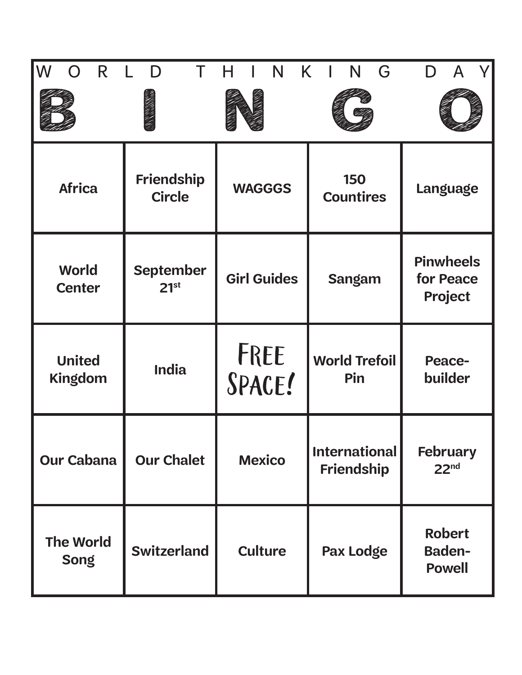| $\overline{\mathsf{W}}$<br>R<br>$\bigcap$ | D                                    | N                  | K<br>N<br>G                               |                                                 |
|-------------------------------------------|--------------------------------------|--------------------|-------------------------------------------|-------------------------------------------------|
|                                           |                                      |                    |                                           |                                                 |
| <b>Africa</b>                             | Friendship<br><b>Circle</b>          | <b>WAGGGS</b>      | 150<br><b>Countires</b>                   | <b>Language</b>                                 |
| <b>World</b><br><b>Center</b>             | <b>September</b><br>21 <sup>st</sup> | <b>Girl Guides</b> | <b>Sangam</b>                             | <b>Pinwheels</b><br>for Peace<br>Project        |
| <b>United</b><br>Kingdom                  | <b>India</b>                         | FREE<br>SPACE!     | <b>World Trefoil</b><br>Pin               | <b>Peace-</b><br>builder                        |
| <b>Our Cabana</b>                         | <b>Our Chalet</b>                    | <b>Mexico</b>      | <b>International</b><br><b>Friendship</b> | <b>February</b><br>22 <sup>nd</sup>             |
| <b>The World</b><br><b>Song</b>           | <b>Switzerland</b>                   | <b>Culture</b>     | Pax Lodge                                 | <b>Robert</b><br><b>Baden-</b><br><b>Powell</b> |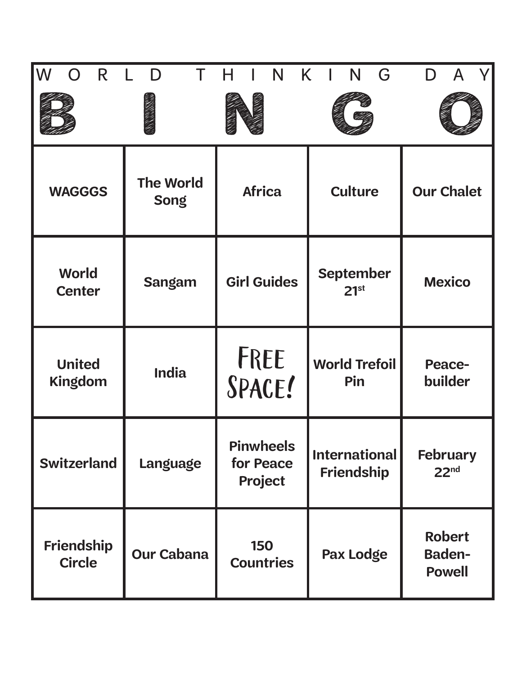| W<br>R<br>$\bigcap$                | Τ<br>D                          | N<br>н                                   | K.<br>G<br>N                              |                                                 |
|------------------------------------|---------------------------------|------------------------------------------|-------------------------------------------|-------------------------------------------------|
|                                    |                                 |                                          |                                           |                                                 |
| <b>WAGGGS</b>                      | <b>The World</b><br><b>Song</b> | <b>Africa</b>                            | <b>Culture</b>                            | <b>Our Chalet</b>                               |
| <b>World</b><br><b>Center</b>      | <b>Sangam</b>                   | <b>Girl Guides</b>                       | <b>September</b><br>21 <sup>st</sup>      | <b>Mexico</b>                                   |
| <b>United</b><br><b>Kingdom</b>    | <b>India</b>                    | FREE<br>SPACE!                           | <b>World Trefoil</b><br>Pin               | <b>Peace-</b><br>builder                        |
| <b>Switzerland</b>                 | <b>Language</b>                 | <b>Pinwheels</b><br>for Peace<br>Project | <b>International</b><br><b>Friendship</b> | <b>February</b><br>22 <sup>nd</sup>             |
| <b>Friendship</b><br><b>Circle</b> | <b>Our Cabana</b>               | <b>150</b><br><b>Countries</b>           | Pax Lodge                                 | <b>Robert</b><br><b>Baden-</b><br><b>Powell</b> |